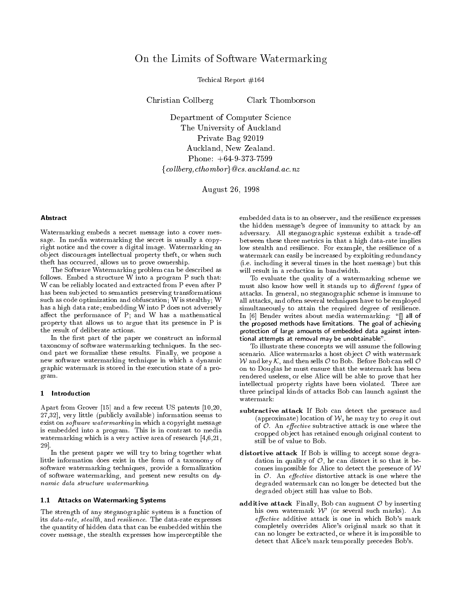# On the Limits of Software Watermarking

Techical Report #164

Christian Collberg

Clark Thomborson

Department of Computer Science The University of Auckland Private Bag 92019 Auckland, New Zealand. Phone: +64-9-373-7599 fcol lberg,cthomborg@cs.auckland.ac.nz

August 26, 1998

#### Abstract

Watermarking embeds a secret message into a cover message. In media watermarking the secret is usually a copyright notice and the cover a digital image. Watermarking an ob ject discourages intellectual property theft, or when such theft has occurred, allows us to prove ownership.

The Software Watermarking problem can be described as follows. Embed a structure W into a program P such that: W can be reliably located and extracted from P even after P has been subjected to semantics preserving transformations such as code optimization and obfuscation; W is stealthy; W has a high data rate; embedding W into P does not adversely affect the performance of  $P$ ; and  $W$  has a mathematical property that allows us to argue that its presence in P is the result of deliberate actions.

In the first part of the paper we construct an informal taxonomy of software watermarking techniques. In the second part we formalize these results. Finally, we propose a new software watermarking technique in which a dynamic graphic watermark is stored in the execution state of a program.

#### 1 Introduction

Apart from Grover [15] and a few recent US patents [10,20, 27,32], very little (publicly available) information seems to exist on *software watermarking* in which a copyright message is embedded into a program. This is in contrast to media watermarking which is a very active area of research [4,6,21, 29].

In the present paper we will try to bring together what little information does exist in the form of a taxonomy of software watermarking techniques, provide a formalization of software watermarking, and present new results on dynamic data structure watermarking. The structure watermarking watermarking. The structure watermarking. The st

### 1.1 Attacks on Watermarking Systems

The strength of any steganographic system is a function of its data-rate, stealth, and resilience. The data-rate expresses the quantity of hidden data that can be embedded within the cover message, the stealth expresses how imperceptible the

embedded data is to an observer, and the resilience expresses the hidden message's degree of immunity to attack by an adversary. All steganographic systems exhibit a trade-o between these three metrics in that a high data-rate implies low stealth and resilience. For example, the resilience of a watermark can easily be increased by exploiting redundancy (i.e. including it several times in the host message) but this will result in a reduction in bandwidth.

To evaluate the quality of a watermarking scheme we must also know how well it stands up to *different types* of attacks. In general, no steganographic scheme is immune to all attacks, and often several techniques have to be employed simultaneously to attain the required degree of resilience. In [6] Bender writes about media watermarking: "[] all of the proposed methods have limitations. The goal of achieving protection of large amounts of embedded data against intentional attempts at removal may be unobtainable".

To illustrate these concepts we will assume the following scenario. Alice watermarks a host object  $\mathcal O$  with watermark W and key K, and then sells <sup>O</sup> to Bob. Before Bob can sell <sup>O</sup> on to Douglas he must ensure that the watermark has been rendered useless, or else Alice will be able to prove that her intellectual property rights have been violated. There are three principal kinds of attacks Bob can launch against the watermark:

- subtractive attack If Bob can detect the presence and (approximate) location of  $W$ , he may try to *crop* it out of  $O$ . An effective subtractive attack is one where the cropped ob ject has retained enough original content to still be of value to Bob.
- distortive attack If Bob is willing to accept some degradation in quality of  $\mathcal{O}$ , he can distort it so that it becomes impossible for Alice to detect the presence of  $W$ in  $\mathcal{O}$ . An *effective* distortive attack is one where the degraded watermark can no longer be detected but the degraded object still has value to Bob.
- additive attack Finally, Bob can augment  $O$  by inserting his own watermark <sup>W</sup>' (or several such marks). An effective additive attack is one in which Bob's mark completely overrides Alice's original mark so that it can no longer be extracted, or where it is impossible to detect that Alice's mark temporally precedes Bob's.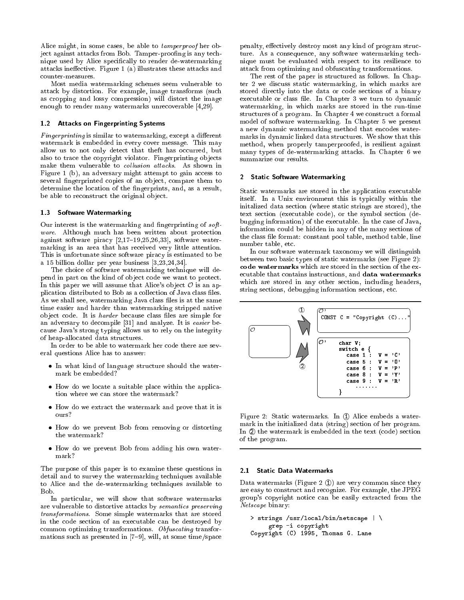Alice might, in some cases, be able to tamperproof her object against attacks from Bob. Tamper-proofing is any technique used by Alice specically to render de-watermarking attacks ineffective. Figure 1 (a) illustrates these attacks and counter-measures.

Most media watermarking schemes seem vulnerable to attack by distortion. For example, image transforms (such as cropping and lossy compression) will distort the image enough to render many watermarks unrecoverable [4,29].

### 1.2 Attacks on Fingerprinting Systems

Fingerprinting is similar to watermarking, except a dierent watermark is embedded in every cover message. This may allow us to not only detect that theft has occurred, but also to trace the copyright violator. Fingerprinting objects make them vulnerable to collusion attacks. As shown in Figure 1 (b), an adversary might attempt to gain access to several fingerprinted copies of an object, compare them to determine the location of the fingerprints, and, as a result, be able to reconstruct the original object.

### 1.3 Software Watermarking

Our interest is the watermarking and fingerprinting of software. Although much has been written about protection against software piracy  $[2,17-19,25,26,33]$ , software watermarking is an area that has received very little attention. This is unfortunate since software piracy is estimated to be a 15 billion dollar per year business [3,23,24,34].

The choice of software watermarking technique will depend in part on the kind of object code we want to protect. In this paper we will assume that Alice's object  $\mathcal O$  is an application distributed to Bob as a collection of Java class files. As we shall see, watermarking Java class files is at the same time easier and harder than watermarking stripped native object code. It is *harder* because class files are simple for an adversary to decompile [31] and analyze. It is easier because Java's strong typing allows us to rely on the integrity of heap-allocated data structures.

In order to be able to watermark her code there are several questions Alice has to answer:

- In what kind of language structure should the watermark be embedded?
- How do we locate a suitable place within the application where we can store the watermark?
- How do we extract the watermark and prove that it is ours?
- How do we prevent Bob from removing or distorting the watermark?
- How do we prevent Bob from adding his own watermark?

The purpose of this paper is to examine these questions in detail and to survey the watermarking techniques available to Alice and the de-watermarking techniques available to Bob.

In particular, we will show that software watermarks are vulnerable to distortive attacks by semantics preserving transformations. Some simple watermarks that are stored in the code section of an executable can be destroyed by common optimizing transformations. Obfuscating transformations such as presented in  $[7-9]$ , will, at some time/space

penalty, effectively destroy most any kind of program structure. As a consequence, any software watermarking technique must be evaluated with respect to its resilience to attack from optimizing and obfuscating transformations.

The rest of the paper is structured as follows. In Chapter 2 we discuss static watermarking, in which marks are stored directly into the data or code sections of a binary executable or class file. In Chapter 3 we turn to dynamic watermarking, in which marks are stored in the run-time structures of a program. In Chapter 4 we construct a formal model of software watermarking. In Chapter 5 we present a new dynamic watermarking method that encodes watermarks in dynamic linked data structures. We show that this method, when properly tamperproofed, is resilient against many types of de-watermarking attacks. In Chapter 6 we summarize our results.

#### $2^{\circ}$ **Static Software Watermarking**

Static watermarks are stored in the application executable itself. In a Unix environment this is typically within the initalized data section (where static strings are stored), the text section (executable code), or the symbol section (debugging information) of the executable. In the case of Java, information could be hidden in any of the many sections of the class file format: constant pool table, method table, line number table, etc.

In our software watermark taxonomy we will distinguish between two basic types of static watermarks (see Figure 2): code watermarks which are stored in the section of the executable that contains instructions, and data watermarks which are stored in any other section, including headers, string sections, debugging information sections, etc.



Figure 2: Static watermarks. In  $\mathbb D$  Alice embeds a watermark in the initialized data (string) section of her program. In 2 the watermark is embedded in the text (code) section of the program.

#### 2.1 Static Data Watermarks

Data watermarks (Figure 2  $\circled{1}$ ) are very common since they are easy to construct and recognize. For example, the JPEG group's copyright notice can be easily extracted from the Netscape binary:

```
> strings /usr/local/bin/netscape | \
    grep -i copyright
Copyright (C) 1995, Thomas G. Lane
```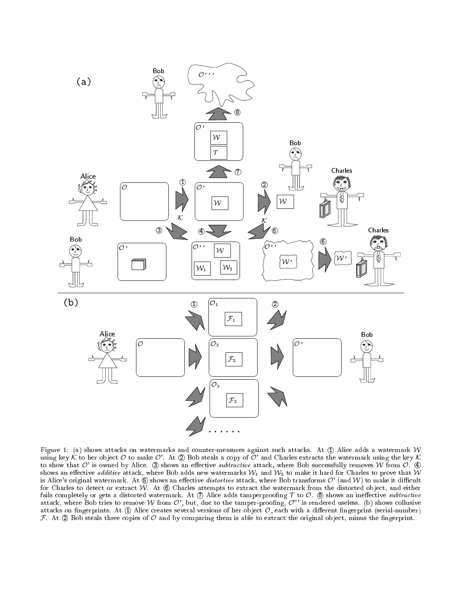

Figure 1: (a) shows attacks on watermarks and counter-measures against such attacks. At  $\mathbb D$  Alice adds a watermark  $\mathcal W$ using key K to her object O to make O'. At  $\mathcal D$  Bob steals a copy of O' and Charles extracts the watermark using the key K to show that  $O'$  is owned by Alice.  $\circledS$  shows an effective subtractive attack, where Bob successfully removes W from  $O$ .  $\circledA$ shows an effective additive attack, where Bob adds new watermarks  $W_1$  and  $W_2$  to make it hard for Charles to prove that W is Alice's original watermark. At  $\circledast$  shows an effective distortive attack, where Bob transforms  $\mathcal{O}'$  (and  $\mathcal{W}$ ) to make it difficult for Charles to detect or extract  $W$ . At  $\circledcirc$  Charles attempts to extract the watermark from the distorted object, and either fails completely or gets a distorted watermark. At  $\mathcal D$  Alice adds tamperproofing  $\mathcal T$  to  $\mathcal O$ .  $\circledS$  shows an ineffective subtractive attack, where Bob tries to remove W from  $\mathcal{O}'$ , but, due to the tamper-proofing,  $\mathcal{O}''$  is rendered useless. (b) shows collusive attacks on fingerprints. At  $\oplus$  Alice creates several versions of her object  $\mathcal{O}$ , each with a different fingerprint (serial-number)  $\mathcal F$ . At  $\mathcal Q$  Bob steals three copies of  $\mathcal O$  and by comparing them is able to extract the original object, minus the fingerprint.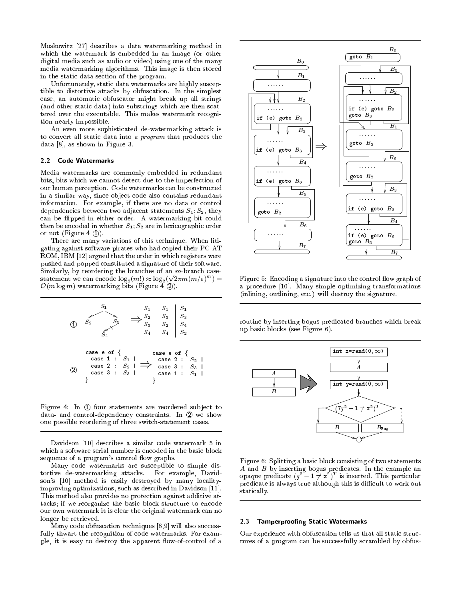Moskowitz [27] describes a data watermarking method in which the watermark is embedded in an image (or other digital media such as audio or video) using one of the many media watermarking algorithms. This image is then stored in the static data section of the program.

Unfortunately, static data watermarks are highly susceptible to distortive attacks by obfuscation. In the simplest case, an automatic obfuscator might break up all strings (and other static data) into substrings which are then scattered over the executable. This makes watermark recognition nearly impossible.

An even more sophisticated de-watermarking attack is to convert all static data into <sup>a</sup> program that produces the data [8], as shown in Figure 3.

#### $2.2$ Code Watermarks

Media watermarks are commonly embedded in redundant bits, bits which we cannot detect due to the imperfection of our human perception. Code watermarks can be constructed in a similar way, since object code also contains redundant information. For example, if there are no data or control dependencies between two adjacent statements  $S_1; S_2$ , they can be ipped in either order. A watermarking bit could then be encoded in whether  $S_1; S_2$  are in lexicographic order or not (Figure 4  $\mathcal{D}$ ).

There are many variations of this technique. When litigating against software pirates who had copied their PC-AT ROM, IBM [12] argued that the order in which registers were pushed and popped constituted a signature of their software. Similarly, by reordering the branches of an  $m$ -branch casestatement we can encode  $\log_2(m!) \approx \log_2(\sqrt{2\pi m} (m/e)^m) =$  $\mathcal{O}(m \log m)$  watermarking bits (Figure 4  $\circled{2}$ ).

1 S2 S3 S4 S1 S4 S3 S2 S1 S3 S4 S1 S2 S1 S2 S3 ) S4 2 gcase <sup>2</sup> : S2 <sup>|</sup> case <sup>1</sup> : S1 <sup>|</sup> case <sup>3</sup> : S3 <sup>|</sup> case e of <sup>f</sup> case e of <sup>f</sup> ) case <sup>1</sup> : S1 <sup>|</sup> gcase <sup>2</sup> : S2 <sup>|</sup> case <sup>3</sup> : S3 <sup>|</sup>

Figure 4: In  $\odot$  four statements are reordered subject to data- and control-dependency constraints. In 2 we show one possible reordering of three switch-statement cases.

Davidson [10] describes a similar code watermark 5 in which a software serial number is encoded in the basic block sequence of a program's control flow graphs.

Many code watermarks are susceptible to simple distortive de-watermarking attacks. For example, Davidson's [10] method is easily destroyed by many localityimproving optimizations, such as described in Davidson [11]. This method also provides no protection against additive attacks; if we reorganize the basic block structure to encode our own watermark it is clear the original watermark can no longer be retrieved.

Many code obfuscation techniques [8,9] will also successfully thwart the recognition of code watermarks. For example, it is easy to destroy the apparent flow-of-control of a



Figure 5: Encoding a signature into the control flow graph of a procedure [10]. Many simple optimizing transformations (inlining, outlining, etc.) will destroy the signature.

routine by inserting bogus predicated branches which break up basic blocks (see Figure 6).



Figure 6: Splitting a basic block consisting of two statements  $\mathbf{A}$  by inserting bogus predicates. In the example and example and example and example and example and example and example and example and example and example and example and example and example and example and exampl opaque predicate  $y^2 - 1 \neq x^2$  is inserted. This particular predicate is always true although this is difficult to work out statically.

#### 2.3 Tamperproofing Static Watermarks

Our experience with obfuscation tells us that all static structures of a program can be successfully scrambled by obfus-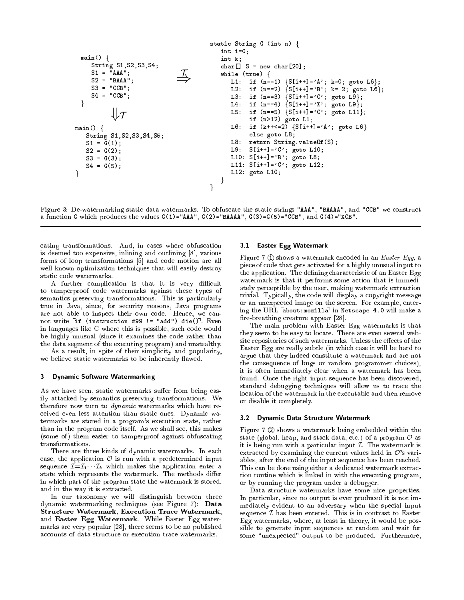static String G (int n) <sup>f</sup> int i=0; main() <sup>f</sup> int k; String S1,S2,S3,S4; char[] S = new char[20]; S1 = "AAA"; )T while (true) <sup>f</sup> L1: if (n==1) fS[i++]='A'; k=0; goto L6g; S2 = "BAAA"; L2: if (n==2) fS[i++]='B'; k=-2; goto L6g; S3 = "CCB"; L3: if (n==3) fS[i++]='C'; goto L9g; S4 = "CCB"; L4: if (n==4) fS[i++]='X'; goto L9g; gL5: if (n==5) fS[i++]='C'; goto L11g; +T if (n>12) goto L1; L6: if (k++<=2) fS[i++]='A'; goto L6<sup>g</sup> main() <sup>f</sup> else goto L8; String S1,S2,S3,S4,S5; L8: return String.valueOf(S); S1 = G(1); L9: S[i++]='C'; goto L10; S2 = G(2); L10: S[i++]='B'; goto L8; S3 = G(3); L11: S[i++]='C'; goto L12; S4 = G(5); L12: goto L10; ggg

Figure 3: De-watermarking static data watermarks. To obfuscate the static strings "AAA", "BAAAA", and "CCB" we construct a function G which produces the values  $G(1)=^{\mathsf{u}}AAA^{\mathsf{u}}$ ,  $G(2)=^{\mathsf{u}}BAAAA^{\mathsf{u}}$ ,  $G(3)=G(5)=^{\mathsf{u}}CCB^{\mathsf{u}}$ , and  $G(4)=^{\mathsf{u}}XCB^{\mathsf{u}}$ .

cating transformations. And, in cases where obfuscation is deemed too expensive, inlining and outlining [8], various forms of loop transformations [5] and code motion are all well-known optimization techniques that will easily destroy static code watermarks.

A further complication is that it is very difficult to tamperproof code watermarks against these types of semantics-preserving transformations. This is particularly true in Java, since, for security reasons, Java programs are not able to inspect their own code. Hence, we cannot write  $\lceil$ if (instruction #99 != "add") die() $\lceil$ . Even in languages like C where this is possible, such code would be highly unusual (since it examines the code rather than the data segment of the executing program) and unstealthy.

As a result, in spite of their simplicity and popularity, we believe static watermarks to be inherently flawed.

#### 3 Dynamic Software Watermarking

As we have seen, static watermarks suffer from being easily attacked by semantics-preserving transformations. We therefore now turn to *dynamic* watermarks which have received even less attention than static ones. Dynamic watermarks are stored in a program's execution state, rather than in the program code itself. As we shall see, this makes (some of) them easier to tamperproof against obfuscating transformations.

There are three kinds of dynamic watermarks. In each case, the application  $\mathcal O$  is run with a predetermined input sequence  $\mathcal{I}=\mathcal{I}_1\cdots\mathcal{I}_k$  which makes the application enter a state which represents the watermark. The methods differ in which part of the program state the watermark is stored, and in the way it is extracted.

In our taxonomy we will distinguish between three dynamic watermarking techniques (see Figure 7): Data Structure Watermark, Execution Trace Watermark, and Easter Egg Watermark. While Easter Egg watermarks are very popular [28], there seems to be no published accounts of data structure or execution trace watermarks.

#### 3.1 Easter Egg Watermark

Figure 7 ① shows a watermark encoded in an Easter Egg, a piece of code that gets activated for a highly unusual input to the application. The defining characteristic of an Easter Egg watermark is that it performs some action that is immediately perceptible by the user, making watermark extraction trivial. Typically, the code will display a copyright message or an unexpected image on the screen. For example, entering the URL  $\sqrt{a}$ bout:mozilla<sup> $\sqrt{a}$ </sup> in Netscape 4.0 will make a fire-breathing creature appear  $[28]$ .

The main problem with Easter Egg watermarks is that they seem to be easy to locate. There are even several website repositories of such watermarks. Unless the effects of the Easter Egg are really subtle (in which case it will be hard to argue that they indeed constitute a watermark and are not the consequence of bugs or random programmer choices), it is often immediately clear when a watermark has been found. Once the right input sequence has been discovered, standard debugging techniques will allow us to trace the location of the watermark in the executable and then remove or disable it completely.

#### 3.2 Dynamic Data Structure Watermark

Figure 7  $\circled{2}$  shows a watermark being embedded within the state (global, heap, and stack data, etc.) of a program  $\mathcal O$  as it is being run with a particular input  $I$ . The watermark is extracted by examining the current values held in  $\mathcal{O}'$ 's variables, after the end of the input sequence has been reached. This can be done using either a dedicated watermark extraction routine which is linked in with the executing program, or by running the program under a debugger.

Data structure watermarks have some nice properties. In particular, since no output is ever produced it is not immediately evident to an adversary when the special input sequence  $\mathcal I$  has been entered. This is in contrast to Easter Egg watermarks, where, at least in theory, it would be possible to generate input sequences at random and wait for some "unexpected" output to be produced. Furthermore,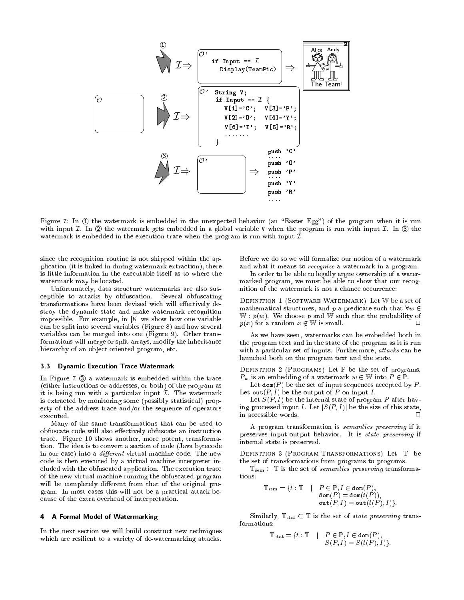

Figure 7: In ① the watermark is embedded in the unexpected behavior (an "Easter Egg") of the program when it is run with input  $\mathcal I$ . In  $\mathcal Q$  the watermark gets embedded in a global variable V when the program is run with input  $\mathcal I$ . In  $\mathcal Q$  the watermark is embedded in the execution trace when the program is run with input  $\mathcal{I}$ .

since the recognition routine is not shipped within the application (it is linked in during watermark extraction), there is little information in the executable itself as to where the watermark may be located.

Unfortunately, data structure watermarks are also susceptible to attacks by obfuscation. Several obfuscating transformations have been devised wich will effectively destroy the dynamic state and make watermark recognition impossible. For example, in [8] we show how one variable can be split into several variables (Figure 8) and how several variables can be merged into one (Figure 9). Other transformations will merge or split arrays, modify the inheritance hierarchy of an object oriented program, etc.

### 3.3 Dynamic Execution Trace Watermark

In Figure 7 3 a watermark is embedded within the trace (either instructions or addresses, or both) of the program as it is being run with a particular input  $\mathcal I$ . The watermark is extracted by monitoring some (possibly statistical) property of the address trace and/or the sequence of operators executed.

Many of the same transformations that can be used to obfuscate code will also effectively obfuscate an instruction trace. Figure 10 shows another, more potent, transformation. The idea is to convert a section of code (Java bytecode in our case) into a  $differential$  machine code. The new code is then executed by a virtual machine interpreter included with the obfuscated application. The execution trace of the new virtual machine running the obfuscated program will be completely different from that of the original program. In most cases this will not be a practical attack because of the extra overhead of interpretation.

#### 4 A Formal Model of Watermarking 4

In the next section we will build construct new techniques which are resilient to a variety of de-watermarking attacks.

Before we do so we will formalize our notion of a watermark and what it means to recognize a watermark in a program.

In order to be able to legally argue ownership of a watermarked program, we must be able to show that our recognition of the watermark is not a chance occurrence:

Definition <sup>1</sup> (Software Watermark) Let <sup>W</sup> be a set of mathematical structures, and p a predicate such that  $\forall w \in$  $W : p(w)$ . We choose p and W such that the probability of  $p(x)$  for a random  $x \notin \mathbb{W}$  is small.  $\Box$ 

As we have seen, watermarks can be embedded both in the program text and in the state of the program as it is run with a particular set of inputs. Furthermore, attacks can be launched both on the program text and the state.

Definition <sup>2</sup> (Programs) Let <sup>P</sup> be the set of programs.  $P_w$  is an embedding of a watermark  $w \in \mathbb{W}$  into  $P \in \mathbb{P}$ .

Let  $\text{dom}(P)$  be the set of input sequences accepted by  $P$ . Let out $(P, I)$  be the output of P on input I.

Let  $S(P, I)$  be the internal state of program P after having processed input I. Let  $|S(P, I)|$  be the size of this state, in accessible words. <sup>2</sup>  $\Box$ 

A program transformation is semantics preserving if it preserves input-output behavior. It is state preserving if internal state is preserved.

Definition <sup>3</sup> (Program Transformations) Let <sup>T</sup> be the set of transformations from programs to programs.

 $\mathbb{T}_{sem} \subset \mathbb{T}$  is the set of *semantics preserving* transformations:

$$
\mathbb{T}_{\mathrm{sem}} = \{t : \mathbb{T} \quad | \quad P \in \mathbb{P}, I \in \text{dom}(P), \\ \text{dom}(P) = \text{dom}(t(P)), \\ \text{out}(P, I) = \text{out}(t(P), I)\}.
$$

Similarly,  $T_{stat} \subset T$  is the set of *state preserving* transformations:

$$
\mathbb{T}_{\text{stat}} = \{ t : \mathbb{T} \quad | \quad P \in \mathbb{P}, I \in \text{dom}(P), \\ S(P, I) = S(t(P), I) \}.
$$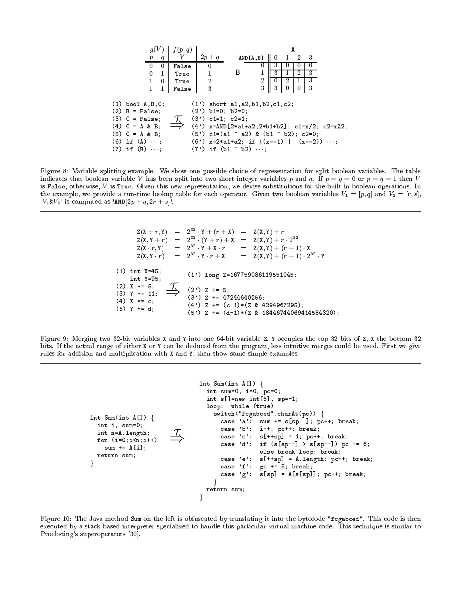

Figure 8: Variable splitting example. We show one possible choice of representation for split boolean variables. The table indicates that boolean variable V has been split into two short integer variables p and q. If  $p = q = 0$  or  $p = q = 1$  then V is False, otherwise,  $V$  is True. Given this new representation, we devise substitutions for the built-in boolean operations. In the example, we provide a run-time lookup table for each operator. Given two boolean variables  $V_1 = [p, q]$  and  $V_2 = [r, s]$ ,  $\nabla_1 \& V_2$  is computed as  $\text{FAND}[2p + q, 2r + s]$ .

 $Z(X + r, Y)$  $= Z(X, Y) + r$ <sup>32</sup>  $Z(X, Y + r)$  $=$ <sup>32</sup>  $(Y + r) + \lambda = \lambda(X, Y) + r \lambda Z^{-1}$  $Z(X \cdot r, Y)$  $= Z(X,Y) + (r - 1) \cdot X$ <sup>32</sup>  $= 2^{32} \cdot Y \cdot r + X$  $Z(X, Y \cdot r)$  $Y \cdot r + X = Z(X, Y) + (r - 1) Z^{-1} Y$ (1) int X=45; (1') long Z=167759086119551045; int Y=95;  $(2)$  X += 5;  $(2')$  Z += 5;  $\Rightarrow$  $(3)$  Y += 11;  $(3')$  Z += 47244640256;  $(4)$  X  $* = c$ ;  $(4')$  Z +=  $(c-1)*(Z & 4294967295)$ ; (5) Y \*= d; (5') Z += (d-1)\*(Z & 18446744069414584320);

Figure 9: Merging two 32-bit variables X and Y into one 64-bit variable Z. Y occupies the top 32 bits of Z, X the bottom 32 bits. If the actual range of either X or Y can be deduced from the program, less intuitive merges could be used. First we give rules for addition and multiplication with X and Y, then show some simple examples.

```
int Sum(int A[]) {
  int i, sum=0;
  int n=A.length;
 for (i=0; i \le n; i++)sum += A[i];
  return sum;
\}\Rightarrowint Sum(int A[]) {
                                  int sum=0, i=0, pc=0;
                                  int s[]=new int[5], sp=-1;
                                  loop: while (true)
                                    switch("fcgabced".charAt(pc)) {
                                      case 'a': sum += s[sp--]; pc++; break;
                                      case 'b': i++; pc++; break;
                                      case 'c': s[+s] = i; pc++; break;
                                      case 'd': if (s[sp--] > s[sp--]) pc -= 6;
                                                  else break loop; break;
                                      case 'e': s[++sp] = A.length; pc++; break;
                                      case 'f': pc += 5; break;
                                      case 'g': s[sp] = A[s[sp]]; pc++; break;
                                    <sub>}</sub>
                                  return sum;
                                g
```
Figure 10: The Java method Sum on the left is obfuscated by translating it into the bytecode "fcgabced". This code is then executed by a stack-based interpreter specialized to handle this particular virtual machine code. This technique is similar to Proebsting's superoperators [30].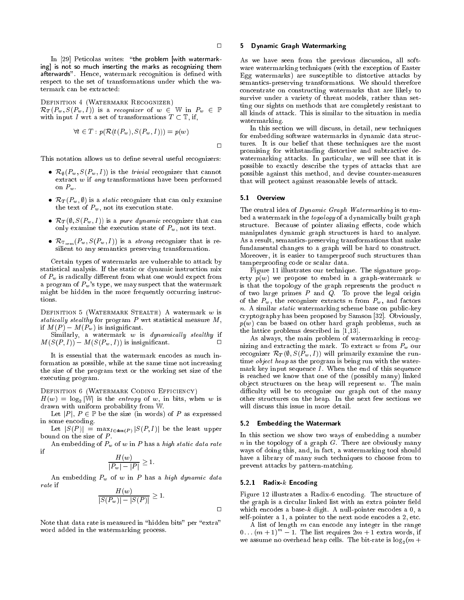$\Box$ 

In [29] Peticolas writes: "the problem [with watermarking] is not so much inserting the marks as recognizing them afterwards". Hence, watermark recognition is defined with respect to the set of transformations under which the watermark can be extracted:

Definition <sup>4</sup> (Watermark Recognizer)  $\mathcal{R}_T(P_w, S(P_w, I))$  is a recognizer of  $w \in \mathbb{W}$  in  $P_w \in \mathbb{P}$ with input I wrt a set of transformations  $T \subset \mathbb{T}$ , if,

$$
\forall t \in T : p(\mathcal{R}(t(P_w), S(P_w, I))) = p(w)
$$

 $\Box$ 

This notation allows us to define several useful recognizers:

- $R$ ;  $\mathbf{v}$  )  $\mathbf{v}$  ) is the triangle trivial recognizer that can not can be called that can not can be called that  $\mathbf{v}$ extract w if any transformations have been performed on  $P_w$ .
- $R$  , and  $R$  is a static recognizer that can only examine that  $\mathcal{S}$ the text of  $P_w$ , not its execution state.
- $\mathcal{L}$  (, ), such that  $\mathcal{L}$  is a pure dynamic recognizer that can can only examine the execution state of  $P_w$ , not its text.
- $R\cdot\text{F}$  is seminor when  $R\cdot\text{F}$  is a strong recognizer that is re-re-re-reference that is resilient to any semantics preserving transformation.

Certain types of watermarks are vulnerable to attack by statistical analysis. If the static or dynamic instruction mix of  $P_w$  is radically different from what one would expect from a program of  $P_w$ 's type, we may suspect that the watermark might be hidden in the more frequently occurring instruc-

Definition <sup>5</sup> (Watermark Stealth) A watermark w is statical ly stealthy for program P wrt statistical measure M, if  $M(P) - M(P_w)$  is insignificant.

Similarly, a watermark w is dynamically steadily if 
$$
M(S(P, I)) - M(S(P_w, I))
$$
 is insignificant.

It is essential that the watermark encodes as much information as possible, while at the same time not increasing the size of the program text or the working set size of the executing program.

Definition <sup>6</sup> (Watermark Coding Efficiency)

 $H(w) = \log_2 |\mathbb{W}|$  is the entropy of w, in bits, when w is drawn with uniform probability from W.

Let |P|,  $P \in \mathbb{P}$  be the size (in words) of P as expressed in some encoding.

Let  $|S(P)| = \max_{I \in \text{dom}(P)} |S(P, I)|$  be the least upper bound on the size of  $P$ .

An embedding of  $P_w$  of w in P has a high static data rate if

$$
\frac{H(w)}{|P_w|-|P|}\geq 1.
$$

An embedding  $P_w$  of w in P has a high dynamic data

$$
\frac{H(w)}{|S(P_w)| - |S(P)|} \ge 1.
$$

Note that data rate is measured in "hidden bits" per "extra" word added in the watermarking process.

#### 5 Dynamic Graph Watermarking

As we have seen from the previous discussion, all software watermarking techniques (with the exception of Easter Egg watermarks) are susceptible to distortive attacks by semantics-preserving transformations. We should therefore concentrate on constructing watermarks that are likely to survive under a variety of threat models, rather than setting our sights on methods that are completely resistant to all kinds of attack. This is similar to the situation in media watermarking.

In this section we will discuss, in detail, new techniques for embedding software watermarks in dynamic data structures. It is our belief that these techniques are the most promising for withstanding distortive and subtractive dewatermarking attacks. In particular, we will see that it is possible to exactly describe the types of attacks that are possible against this method, and devise counter-measures that will protect against reasonable levels of attack.

#### 5.1 Overview

The central idea of Dynamic Graph Watermarking is to embed a watermark in the topology of a dynamically built graph structure. Because of pointer aliasing effects, code which manipulates dynamic graph structures is hard to analyze. As a result, semantics-preserving transformations that make fundamental changes to a graph will be hard to construct. Moreover, it is easier to tamperproof such structures than tamperproofing code or scalar data.

Figure 11 illustrates our technique. The signature property  $p(w)$  we propose to embed in a graph-watermark w is that the topology of the graph represents the product  $n$ of two large primes  $P$  and  $Q$ . To prove the legal origin of the  $P_w$ , the recognizer extracts n from  $P_w$ , and factors n. A similar static watermarking scheme base on public-key cryptography has been proposed by Samson [32]. Obviously,  $p(w)$  can be based on other hard graph problems, such as the lattice problems described in [1,13].

As always, the main problem of watermarking is recognizing and extracting the mark. To extract  $w$  from  $P_w$  our recognizer  $\mathcal{R}_T(\emptyset, S(P_w, I))$  will primarily examine the runtime *object heap* as the program is being run with the watermark key input sequence  $I$ . When the end of this sequence is reached we know that one of the (possibly many) linked object structures on the heap will represent  $w$ . The main difficulty will be to recognize our graph out of the many other structures on the heap. In the next few sections we will discuss this issue in more detail.

#### 5.2 Embedding the Watermark

In this section we show two ways of embedding a number  $n$  in the topology of a graph  $G$ . There are obviously many ways of doing this, and, in fact, a watermarking tool should have a library of many such techniques to choose from to prevent attacks by pattern-matching.

### 5.2.1 Radix- $k$  Encoding

 $\Box$ 

Figure 12 illustrates a Radix-6 encoding. The structure of the graph is a circular linked list with an extra pointer field which encodes a base- $k$  digit. A null-pointer encodes a 0, a self-pointer a 1, a pointer to the next node encodes a 2, etc.

A list of length m can encode any integer in the range  $0 \ldots (m + 1)^{m} - 1$ . The list requires  $2m + 1$  extra words, if we assume no overhead heap cells. The bit-rate is  $\log_2(m +$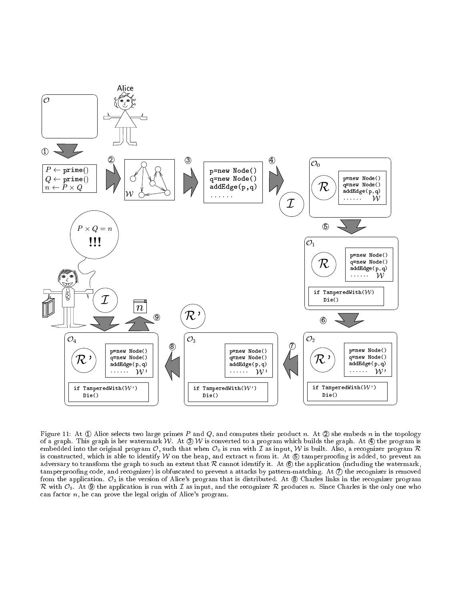

Figure 11: At  $\oplus$  Alice selects two large primes P and Q, and computes their product n. At  $\otimes$  she embeds n in the topology of a graph. This graph is her watermark W. At  $\mathcal{D}$  W is converted to a program which builds the graph. At  $\mathcal{D}$  the program is embedded into the original program  $\mathcal{O}$ , such that when  $\mathcal{O}_0$  is run with  $\mathcal I$  as input,  $\mathcal W$  is built. Also, a recognizer program  $\mathcal R$ is constructed, which is able to identify W on the heap, and extract n from it. At  $\circledB$  tamperproofing is added, to prevent an adversary to transform the graph to such an extent that  $R$  cannot identify it. At  $\circled{6}$  the application (including the watermark,  $t$ amperproofing code, and recognizer) is obfuscated to prevent a attacks by pattern-matching. At  $\mathcal D$  the recognizer is removed from the application.  $\mathcal{O}_3$  is the version of Alice's program that is distributed. At  $\circledast$  Charles links in the recognizer program  $R$  with  $\mathcal{C}$  , and  $\mathcal{C}$  and application is run with I as in the assumption is produced in principal control only one who can factor n, he can prove the legal origin of Alice's program.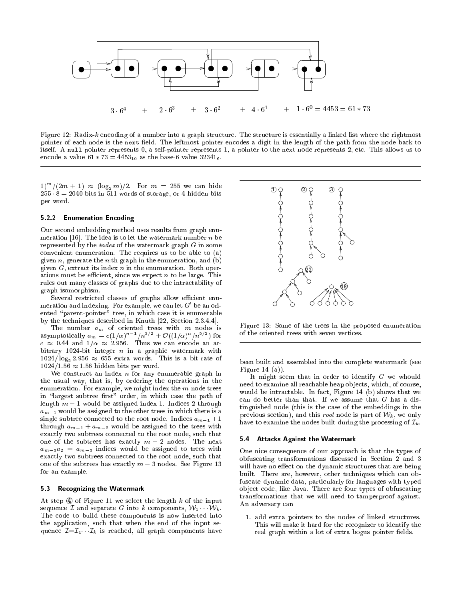

Figure 12: Radix-k encoding of a number into a graph structure. The structure is essentially a linked list where the rightmost pointer of each node is the next field. The leftmost pointer encodes a digit in the length of the path from the node back to itself. A null pointer represents 0, a self-pointer represents 1, a pointer to the next node represents 2, etc. This allows us to encode a value  $61 * 73 = 4453_{10}$  as the base-6 value  $32341_{6}$ .

 $(1)^{m}/(2m + 1) \approx (\log_2 m)/2$ . For  $m = 255$  we can hide  $255 \cdot 8 = 2040$  bits in 511 words of storage, or 4 hidden bits per word.

#### 5.2.2 Enumeration Encoding

Our second embedding method uses results from graph enumeration [16]. The idea is to let the watermark number  $n$  be represented by the *index* of the watermark graph  $G$  in some convenient enumeration. The requires us to be able to (a) given  $n$ , generate the n:th graph in the enumeration, and  $(b)$ given  $G$ , extract its index  $n$  in the enumeration. Both operations must be efficient, since we expect  $n$  to be large. This rules out many classes of graphs due to the intractability of graph isomorphism.

Several restricted classes of graphs allow efficient enumeration and indexing. For example, we can let  $G$  be an oriented "parent-pointer" tree, in which case it is enumerable by the techniques described in Knuth [22, Section 2.3.4.4].

The number  $a_m$  of oriented trees with  $m$  nodes is asymptotically  $a_m = c(1/\alpha)^{-1} / n^{-1} + O((1/\alpha)^{-1}/n^{-1})$  for c 0:44 and 1= 2:956. Thus we can encode an arbitrary 1024-bit integer  $n$  in a graphic watermark with  $1024/\log_2 2.956 \approx 655$  extra words. This is a bit-rate of  $1024/1.56 \approx 1.56$  hidden bits per word.

We construct an index  $n$  for any enumerable graph in the usual way, that is, by ordering the operations in the enumeration. For example, we might index the  $m$ -node trees in "largest subtree first" order, in which case the path of length  $m-1$  would be assigned index 1. Indices 2 through  $a_{m-1}$  would be assigned to the other trees in which there is a single subtree connected to the root node. Indices  $a_{m-1} + 1$ through  $a_{m-1} + a_{m-2}$  would be assigned to the trees with exactly two subtrees connected to the root node, such that one of the subtrees has exactly  $m-2$  nodes. The next  $a_{m-3}a_2 = a_{m-3}$  indices would be assigned to trees with exactly two subtrees connected to the root node, such that one of the subtrees has exactly  $m-3$  nodes. See Figure 13 for an example.

#### 5.3 Recognizing the Watermark

At step  $\Phi$  of Figure 11 we select the length  $k$  of the input sequence  $\mathcal I$  and separate G into k components,  $\mathcal W_1 \cdots \mathcal W_k$ . The code to build these components is now inserted into the application, such that when the end of the input sequence  $\mathcal{I}=\mathcal{I}_1\cdots\mathcal{I}_k$  is reached, all graph components have



Figure 13: Some of the trees in the proposed enumeration of the oriented trees with seven vertices.

been built and assembled into the complete watermark (see Figure 14 (a)).

It might seem that in order to identify G we whould need to examine all reachable heap objects, which, of course, would be intractable. In fact, Figure 14 (b) shows that we can do better than that. If we assume that  $G$  has a distinguished node (this is the case of the embeddings in the previous section), and this *root* node is part of  $W_k$ , we only have to examine the nodes built during the processing of  $\mathcal{I}_k$ .

#### 5.4 Attacks Against the Watermark

One nice consequence of our approach is that the types of obfuscating transformations discussed in Section 2 and 3 will have no effect on the dynamic structures that are being built. There are, however, other techniques which can obfuscate dynamic data, particularly for languages with typed ob ject code, like Java. There are four types of obfuscating transformations that we will need to tamperproof against. An adversary can

1. add extra pointers to the nodes of linked structures. This will make it hard for the recognizer to identify the real graph within a lot of extra bogus pointer fields.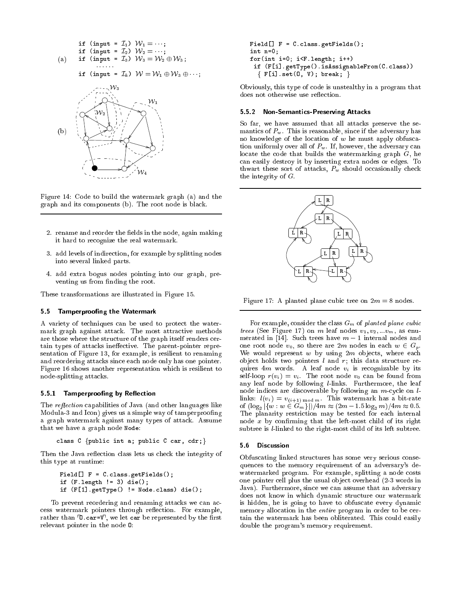

Figure 14: Code to build the watermark graph (a) and the graph and its components (b). The root node is black.

- 2. rename and reorder the fields in the node, again making it hard to recognize the real watermark.
- 3. add levels of indirection, for example by splitting nodes into several linked parts.
- 4. add extra bogus nodes pointing into our graph, preventing us from finding the root.

These transformations are illustrated in Figure 15.

### 5.5 Tamp erproofing the Watermark

A variety of techniques can be used to protect the watermark graph against attack. The most attractive methods are those where the structure of the graph itself renders certain types of attacks ineffective. The parent-pointer representation of Figure 13, for example, is resilient to renaming and reordering attacks since each node only has one pointer. Figure 16 shows another representation which is resilient to node-splitting attacks.

# 5.5.1 Tamperproofing by Reflection

The *reflection* capabilities of Java (and other languages like Modula-3 and Icon) gives us a simple way of tamperproofing a graph watermark against many types of attack. Assume that we have a graph node Node:

```
class C {public int a; public C car, cdr; }
```
Then the Java reflection class lets us check the integrity of this type at runtime:

```
Field[] F = C.class.getFields();
if (F.length != 3) die();
if (F[1].getType() != Node.class) die();
```
To prevent reordering and renaming attacks we can access watermark pointers through reflection. For example, rather than  $\overline{0}$  car= $\overline{V}$ , we let car be represented by the first relevant pointer in the node O:

```
Field[] F = C.class.getFields();
int n=0;
for(int i=0; i<F.length; i++)
 if (F[i].getType().isAssignableFrom(C.class))
  f F[i].set(O, V); break; g
```
Obviously, this type of code is unstealthy in a program that does not otherwise use reflection.

## 5.5.2 Non-Semantics-Preserving Attacks

So far, we have assumed that all attacks preserve the semantics of  $P_w$ . This is reasonable, since if the adversary has no knowledge of the location of  $w$  he must apply obfuscation uniformly over all of  $P_w$ . If, however, the adversary can locate the code that builds the watermarking graph  $G$ , he can easily destroy it by inserting extra nodes or edges. To thwart these sort of attacks,  $P_w$  should occasionally check the integrity of G.



Figure 17: A planted plane cubic tree on  $2m = 8$  nodes.

For example, consider the class  $G_m$  of planted plane cubic trees (See Figure 17) on m leaf nodes v1; v2; :::vm, as enumerated in [14]. Such trees have  $m-1$  internal nodes and one root node  $v_0$ , so there are 2m nodes in each  $w \in G_p$ . We would represent  $w$  by using  $2m$  objects, where each object holds two pointers  $l$  and  $r$ ; this data structure requires  $4m$  words. A leaf node  $v_i$  is recognizable by its self-loop  $r(v_i) = v_i$ . The root node  $v_0$  can be found from any leaf node by following l-links. Furthermore, the leaf node indices are discoverable by following an m-cycle on llinks:  $l(v_i) = v_{(i+1) \mod m}$ . This watermark has a bit-rate of  $(\log_2 |\{w : w \in G_m\}|)/4m \approx (2m - 1.5 \log_2 m)/4m \approx 0.5.$ The planarity restriction may be tested for each internal node  $x$  by confirming that the left-most child of its right subtree is l-linked to the right-most child of its left subtree.

#### 5.6 Discussion

Obfuscating linked structures has some very serious consequences to the memory requirement of an adversary's dewatermarked program. For example, splitting a node costs one pointer cell plus the usual object overhead (2-3 words in Java). Furthermore, since we can assume that an adversary does not know in which dynamic structure our watermark is hidden, he is going to have to obfuscate every dynamic memory allocation in the entire program in order to be certain the watermark has been obliterated. This could easily double the program's memory requirement.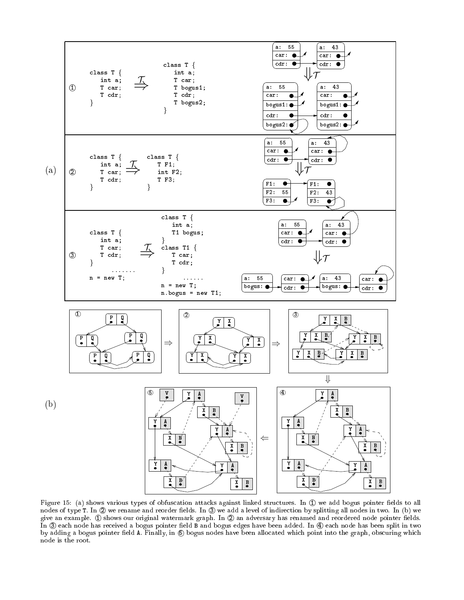

Figure 15: (a) shows various types of obfuscation attacks against linked structures. In  $\mathbb O$  we add bogus pointer fields to all nodes of type T. In 2 we rename and reorder fields. In 3 we add a level of indirection by splitting all nodes in two. In (b) we give an example.  $\oplus$  shows our original watermark graph. In  $\oslash$  an adversary has renamed and reordered node pointer fields. In 3 each node has received a bogus pointer field B and bogus edges have been added. In 4 each node has been split in two by adding a bogus pointer field A. Finally, in  $\circledS$  bogus nodes have been allocated which point into the graph, obscuring which node is the root.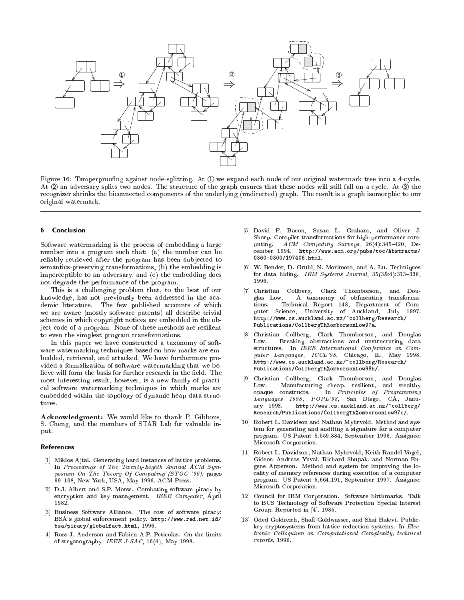

Figure 16: Tamperproofing against node-splitting. At  $\mathbb D$  we expand each node of our original watermark tree into a 4-cycle. At 2 an adversary splits two nodes. The structure of the graph ensures that these nodes will still fall on a cycle. At 3 the recognizer shrinks the biconnected components of the underlying (undirected) graph. The result is a graph isomorphic to our original watermark.

#### ĥ **Conclusion**

Software watermarking is the process of embedding a large number into a program such that: (a) the number can be reliably retrieved after the program has been subjected to semantics-preserving transformations, (b) the embedding is imperceptible to an adversary, and (c) the embedding does not degrade the performance of the program.

This is a challenging problem that, to the best of our knowledge, has not previously been addressed in the academic literature. The few published accounts of which we are aware (mostly software patents) all describe trivial schemes in which copyright notices are embedded in the object code of a program. None of these methods are resilient to even the simplest program transformations.

In this paper we have constructed a taxonomy of software watermarking techniques based on how marks are embedded, retrieved, and attacked. We have furthermore provided a formalization of software watermarking that we believe will form the basis for further research in the field. The most interesting result, however, is a new family of practical software watermarking techniques in which marks are embedded within the topology of dynamic heap data structures.

Acknowledgment: We would like to thank P. Gibbons, S. Cheng, and the members of STAR Lab for valuable input. put is a series of the series of the series of the series of the series of the series of the series of the series of the series of the series of the series of the series of the series of the series of the series of the ser

#### References

- [1] Miklos Ajtai. Generating hard instances of lattice problems. In Proceedings of The Twenty-Eighth Annual ACM Symposium On The Theory Of Computing (STOC '96), pages 99-108, New York, USA, May 1996. ACM Press.
- [2] D.J. Albert and S.P. Morse. Combating software piracy by encryption and key management. IEEE Computer, April 1982.
- [3] Business Software Alliance. The cost of software piracy: BSA's global enforcement policy. http://www.rad.net.id/ bsa/piracy/globalfact.html, 1996.
- [4] Ross J. Anderson and Fabien A.P. Peticolas. On the limits of steganography. IEEE  $J$ -SAC, 16(4), May 1998.
- [5] David F. Bacon, Susan L. Graham, and Oliver J. Sharp. Compiler transformations for high-performance computing.  $ACM$  Computing Surveys,  $26(4):345-420$ , December 1994. http://www.acm.org/pubs/toc/Abstracts/ 0360-0300/197406.html.
- [6] W. Bender, D. Gruhl, N. Morimoto, and A. Lu. Techniques for data hiding. IBM Systems Journal,  $35(3\&4):313-336$ , 1996.
- [7] Christian Collberg, Clark Thomborson, and Douglas Low. A taxonomy of obfuscating transformations. Technical Report 148, Department of Computer Science, University of Auckland, July 1997. http://www.cs.auckland.ac.nz/~collberg/Research/ Publications/CollbergTh%omborsonLow97a.
- [8] Christian Collberg, Clark Thomborson, and Douglas Low. Breaking abstractions and unstructuring data structures. In IEEE International Conference on Computer Languages, ICCL'98, Chicago, IL, May 1998. http://www.cs.auckland.ac.nz/~collberg/Research/ Publications/CollbergTh%omborsonLow98b/.
- [9] Christian Collberg, Clark Thomborson, and Douglas Low. Manufacturing cheap, resilient, and stealthy opaque constructs. In Principles of Programming Languages 1998, POPL'98, San Diego, CA, January 1998. http://www.cs.auckland.ac.nz/~collberg/ Research/Publications/CollbergTh%omborsonLow97c/.
- [10] Robert L. Davidson and Nathan Myhrvold. Method and system for generating and auditing a signature for a computer program. US Patent 5,559,884, September 1996. Assignee: Microsoft Corporation.
- [11] Robert L. Davidson, Nathan Myhrvold, Keith Randel Vogel, Gideon Andreas Yuval, Richard Shupak, and Norman Eugene Apperson. Method and system for improving the locality of memory references during execution of a computer program. US Patent 5,664,191, September 1997. Assignee: Microsoft Corporation.
- [12] Council for IBM Corporation. Software birthmarks. Talk to BCS Technology of Software Protection Special Interest Group. Reported in [4], 1985.
- Oded Goldreich, Shafi Goldwasser, and Shai Halevi. Publickey cryptosystems from lattice reduction systems. In Eleckey cryptosystems from lattice reduction systems. In Electronic Col loquium on Computational Complexity, technical reports, 1996.